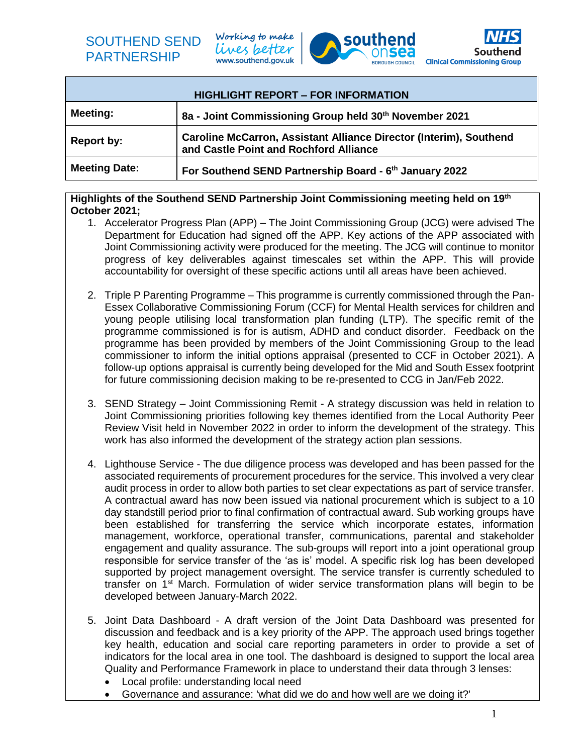Working to make lives better www.southend.gov.uk





| <b>HIGHLIGHT REPORT - FOR INFORMATION</b> |                                                                                                              |  |  |  |  |
|-------------------------------------------|--------------------------------------------------------------------------------------------------------------|--|--|--|--|
| <b>Meeting:</b>                           | 8a - Joint Commissioning Group held 30th November 2021                                                       |  |  |  |  |
| <b>Report by:</b>                         | Caroline McCarron, Assistant Alliance Director (Interim), Southend<br>and Castle Point and Rochford Alliance |  |  |  |  |
| <b>Meeting Date:</b>                      | For Southend SEND Partnership Board - 6th January 2022                                                       |  |  |  |  |

## **Highlights of the Southend SEND Partnership Joint Commissioning meeting held on 19th October 2021;**

- 1. Accelerator Progress Plan (APP) The Joint Commissioning Group (JCG) were advised The Department for Education had signed off the APP. Key actions of the APP associated with Joint Commissioning activity were produced for the meeting. The JCG will continue to monitor progress of key deliverables against timescales set within the APP. This will provide accountability for oversight of these specific actions until all areas have been achieved.
- 2. Triple P Parenting Programme This programme is currently commissioned through the Pan-Essex Collaborative Commissioning Forum (CCF) for Mental Health services for children and young people utilising local transformation plan funding (LTP). The specific remit of the programme commissioned is for is autism, ADHD and conduct disorder. Feedback on the programme has been provided by members of the Joint Commissioning Group to the lead commissioner to inform the initial options appraisal (presented to CCF in October 2021). A follow-up options appraisal is currently being developed for the Mid and South Essex footprint for future commissioning decision making to be re-presented to CCG in Jan/Feb 2022.
- 3. SEND Strategy Joint Commissioning Remit A strategy discussion was held in relation to Joint Commissioning priorities following key themes identified from the Local Authority Peer Review Visit held in November 2022 in order to inform the development of the strategy. This work has also informed the development of the strategy action plan sessions.
- 4. Lighthouse Service The due diligence process was developed and has been passed for the associated requirements of procurement procedures for the service. This involved a very clear audit process in order to allow both parties to set clear expectations as part of service transfer. A contractual award has now been issued via national procurement which is subject to a 10 day standstill period prior to final confirmation of contractual award. Sub working groups have been established for transferring the service which incorporate estates, information management, workforce, operational transfer, communications, parental and stakeholder engagement and quality assurance. The sub-groups will report into a joint operational group responsible for service transfer of the 'as is' model. A specific risk log has been developed supported by project management oversight. The service transfer is currently scheduled to transfer on 1<sup>st</sup> March. Formulation of wider service transformation plans will begin to be developed between January-March 2022.
- 5. Joint Data Dashboard A draft version of the Joint Data Dashboard was presented for discussion and feedback and is a key priority of the APP. The approach used brings together key health, education and social care reporting parameters in order to provide a set of indicators for the local area in one tool. The dashboard is designed to support the local area Quality and Performance Framework in place to understand their data through 3 lenses:
	- Local profile: understanding local need
	- Governance and assurance: 'what did we do and how well are we doing it?'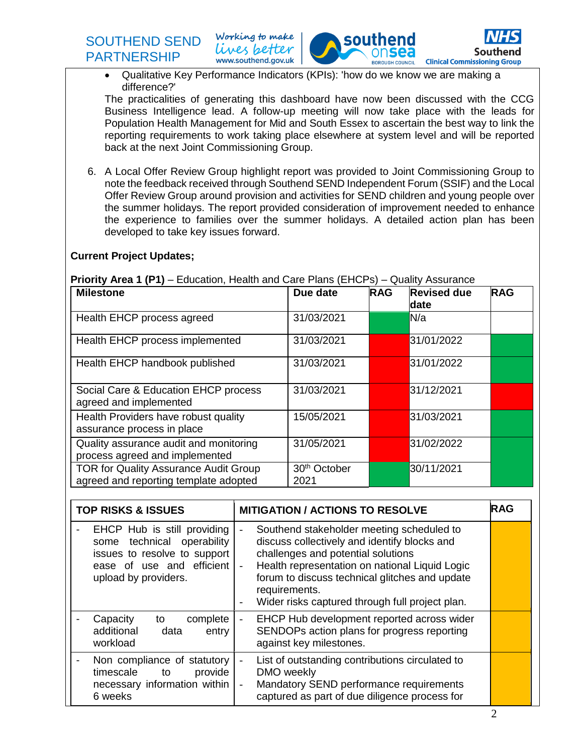Working to make lives better www.southend.gov.uk



 Qualitative Key Performance Indicators (KPIs): 'how do we know we are making a difference?'

The practicalities of generating this dashboard have now been discussed with the CCG Business Intelligence lead. A follow-up meeting will now take place with the leads for Population Health Management for Mid and South Essex to ascertain the best way to link the reporting requirements to work taking place elsewhere at system level and will be reported back at the next Joint Commissioning Group.

6. A Local Offer Review Group highlight report was provided to Joint Commissioning Group to note the feedback received through Southend SEND Independent Forum (SSIF) and the Local Offer Review Group around provision and activities for SEND children and young people over the summer holidays. The report provided consideration of improvement needed to enhance the experience to families over the summer holidays. A detailed action plan has been developed to take key issues forward.

## **Current Project Updates;**

## **Priority Area 1 (P1)** – Education, Health and Care Plans (EHCPs) – Quality Assurance

| <b>Milestone</b>                                                                      | Due date                         | <b>RAG</b> | <b>Revised due</b><br>date | <b>RAG</b> |
|---------------------------------------------------------------------------------------|----------------------------------|------------|----------------------------|------------|
| Health EHCP process agreed                                                            | 31/03/2021                       |            | N/a                        |            |
| Health EHCP process implemented                                                       | 31/03/2021                       |            | 31/01/2022                 |            |
| Health EHCP handbook published                                                        | 31/03/2021                       |            | 31/01/2022                 |            |
| Social Care & Education EHCP process<br>agreed and implemented                        | 31/03/2021                       |            | 31/12/2021                 |            |
| Health Providers have robust quality<br>assurance process in place                    | 15/05/2021                       |            | 31/03/2021                 |            |
| Quality assurance audit and monitoring<br>process agreed and implemented              | 31/05/2021                       |            | 31/02/2022                 |            |
| <b>TOR for Quality Assurance Audit Group</b><br>agreed and reporting template adopted | 30 <sup>th</sup> October<br>2021 |            | 30/11/2021                 |            |

| <b>TOP RISKS &amp; ISSUES</b>                                                                                                                     | RAG<br><b>MITIGATION / ACTIONS TO RESOLVE</b>                                                                                                                                                                                                                                                                             |  |  |  |
|---------------------------------------------------------------------------------------------------------------------------------------------------|---------------------------------------------------------------------------------------------------------------------------------------------------------------------------------------------------------------------------------------------------------------------------------------------------------------------------|--|--|--|
| EHCP Hub is still providing<br>technical operability<br>some<br>issues to resolve to support<br>ease of use and efficient<br>upload by providers. | Southend stakeholder meeting scheduled to<br>discuss collectively and identify blocks and<br>challenges and potential solutions<br>Health representation on national Liquid Logic<br>$\blacksquare$<br>forum to discuss technical glitches and update<br>requirements.<br>Wider risks captured through full project plan. |  |  |  |
| Capacity<br>complete<br>to<br>additional<br>data<br>entry<br>workload                                                                             | EHCP Hub development reported across wider<br>SENDOPs action plans for progress reporting<br>against key milestones.                                                                                                                                                                                                      |  |  |  |
| Non compliance of statutory<br>timescale<br>provide<br>to<br>necessary information within<br>6 weeks                                              | List of outstanding contributions circulated to<br>DMO weekly<br>Mandatory SEND performance requirements<br>captured as part of due diligence process for                                                                                                                                                                 |  |  |  |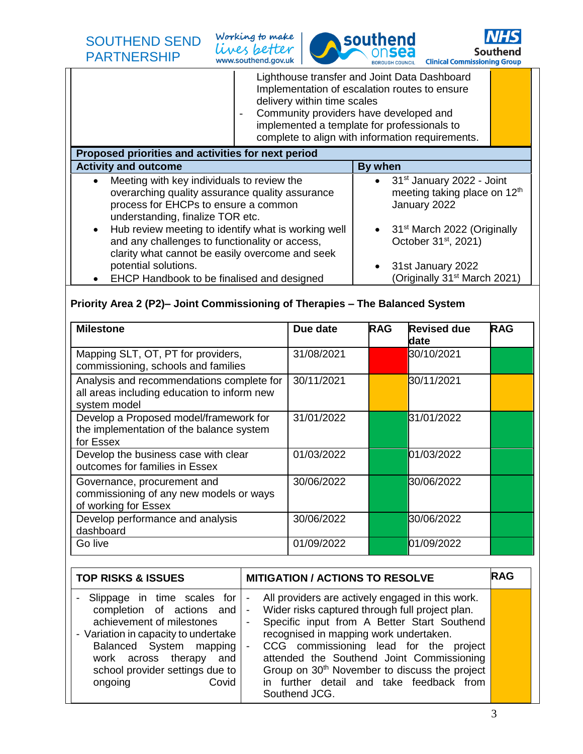Working to make lives better www.southend.gov.uk





Lighthouse transfer and Joint Data Dashboard Implementation of escalation routes to ensure delivery within time scales

- Community providers have developed and implemented a template for professionals to complete to align with information requirements.

| Proposed priorities and activities for next period                                                                                                                                     |                                                                                                 |  |  |  |  |  |
|----------------------------------------------------------------------------------------------------------------------------------------------------------------------------------------|-------------------------------------------------------------------------------------------------|--|--|--|--|--|
| <b>Activity and outcome</b>                                                                                                                                                            | By when                                                                                         |  |  |  |  |  |
| Meeting with key individuals to review the<br>$\bullet$<br>overarching quality assurance quality assurance<br>process for EHCPs to ensure a common<br>understanding, finalize TOR etc. | $\bullet$ 31 <sup>st</sup> January 2022 - Joint<br>meeting taking place on 12th<br>January 2022 |  |  |  |  |  |
| Hub review meeting to identify what is working well<br>and any challenges to functionality or access,<br>clarity what cannot be easily overcome and seek                               | • 31 <sup>st</sup> March 2022 (Originally<br>October 31 <sup>st</sup> , 2021)                   |  |  |  |  |  |
| potential solutions.<br>EHCP Handbook to be finalised and designed                                                                                                                     | 31st January 2022<br>(Originally 31 <sup>st</sup> March 2021)                                   |  |  |  |  |  |

## **Priority Area 2 (P2)– Joint Commissioning of Therapies – The Balanced System**

| <b>Milestone</b>                                                                                         | Due date   | <b>RAG</b> | <b>Revised due</b><br>date | <b>RAG</b> |
|----------------------------------------------------------------------------------------------------------|------------|------------|----------------------------|------------|
| Mapping SLT, OT, PT for providers,<br>commissioning, schools and families                                | 31/08/2021 |            | 30/10/2021                 |            |
| Analysis and recommendations complete for<br>all areas including education to inform new<br>system model | 30/11/2021 |            | 30/11/2021                 |            |
| Develop a Proposed model/framework for<br>the implementation of the balance system<br>for Essex          | 31/01/2022 |            | 31/01/2022                 |            |
| Develop the business case with clear<br>outcomes for families in Essex                                   | 01/03/2022 |            | 01/03/2022                 |            |
| Governance, procurement and<br>commissioning of any new models or ways<br>of working for Essex           | 30/06/2022 |            | 30/06/2022                 |            |
| Develop performance and analysis<br>dashboard                                                            | 30/06/2022 |            | 30/06/2022                 |            |
| Go live                                                                                                  | 01/09/2022 |            | 01/09/2022                 |            |

| <b>TOP RISKS &amp; ISSUES</b>                                                                                                                                                                                                                 |                                                              | <b>MITIGATION / ACTIONS TO RESOLVE</b>                                                                                                                                                                                                                                                                                                                                                                        | <b>IRAG</b> |
|-----------------------------------------------------------------------------------------------------------------------------------------------------------------------------------------------------------------------------------------------|--------------------------------------------------------------|---------------------------------------------------------------------------------------------------------------------------------------------------------------------------------------------------------------------------------------------------------------------------------------------------------------------------------------------------------------------------------------------------------------|-------------|
| Slippage in time scales for<br>completion of actions and<br>achievement of milestones<br>- Variation in capacity to undertake<br>Balanced System mapping<br>work across therapy<br>and<br>school provider settings due to<br>Covid<br>ongoing | $\overline{\phantom{a}}$<br>$\blacksquare$<br>$\blacksquare$ | All providers are actively engaged in this work.<br>Wider risks captured through full project plan.<br>Specific input from A Better Start Southend<br>recognised in mapping work undertaken.<br>CCG commissioning lead for the project<br>attended the Southend Joint Commissioning<br>Group on 30 <sup>th</sup> November to discuss the project<br>in further detail and take feedback from<br>Southend JCG. |             |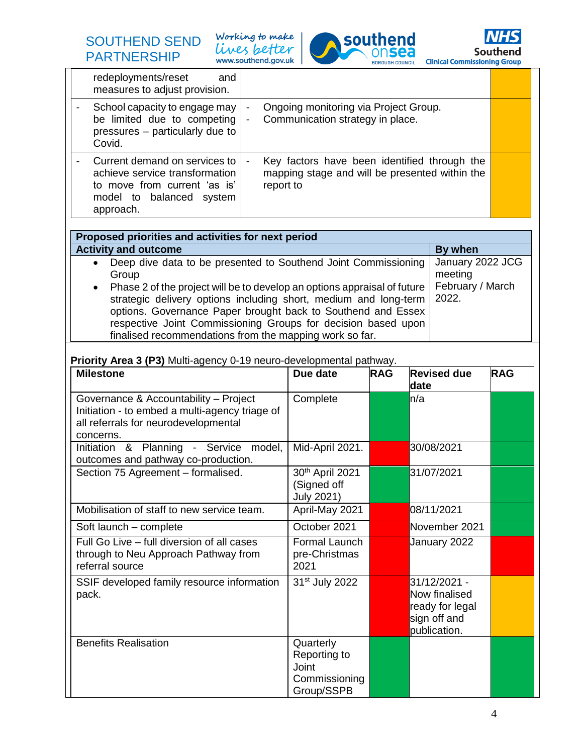Working to make lives better





|                                                                                    | redeployments/reset<br>and<br>measures to adjust provision.                                                                   |                                  |                                                |               |                                 |            |
|------------------------------------------------------------------------------------|-------------------------------------------------------------------------------------------------------------------------------|----------------------------------|------------------------------------------------|---------------|---------------------------------|------------|
|                                                                                    | School capacity to engage may                                                                                                 |                                  | Ongoing monitoring via Project Group.          |               |                                 |            |
| be limited due to competing                                                        |                                                                                                                               | Communication strategy in place. |                                                |               |                                 |            |
|                                                                                    | pressures - particularly due to<br>Covid.                                                                                     |                                  |                                                |               |                                 |            |
|                                                                                    | Current demand on services to                                                                                                 |                                  | Key factors have been identified through the   |               |                                 |            |
|                                                                                    | achieve service transformation<br>to move from current 'as is'                                                                | report to                        | mapping stage and will be presented within the |               |                                 |            |
|                                                                                    | model to balanced system                                                                                                      |                                  |                                                |               |                                 |            |
|                                                                                    | approach.                                                                                                                     |                                  |                                                |               |                                 |            |
|                                                                                    | Proposed priorities and activities for next period                                                                            |                                  |                                                |               |                                 |            |
|                                                                                    | <b>Activity and outcome</b>                                                                                                   |                                  |                                                |               | By when                         |            |
|                                                                                    | Deep dive data to be presented to Southend Joint Commissioning<br>$\bullet$<br>Group                                          |                                  |                                                |               | January 2022 JCG<br>meeting     |            |
|                                                                                    | Phase 2 of the project will be to develop an options appraisal of future<br>$\bullet$                                         |                                  |                                                |               | February / March                |            |
|                                                                                    | strategic delivery options including short, medium and long-term                                                              |                                  |                                                |               | 2022.                           |            |
|                                                                                    | options. Governance Paper brought back to Southend and Essex<br>respective Joint Commissioning Groups for decision based upon |                                  |                                                |               |                                 |            |
|                                                                                    | finalised recommendations from the mapping work so far.                                                                       |                                  |                                                |               |                                 |            |
|                                                                                    |                                                                                                                               |                                  |                                                |               |                                 |            |
|                                                                                    | Priority Area 3 (P3) Multi-agency 0-19 neuro-developmental pathway.<br><b>Milestone</b>                                       |                                  | Due date                                       |               | <b>Revised due</b>              | <b>RAG</b> |
|                                                                                    |                                                                                                                               |                                  |                                                | <b>RAG</b>    | date                            |            |
|                                                                                    | Governance & Accountability - Project                                                                                         |                                  | Complete                                       | n/a           |                                 |            |
|                                                                                    | Initiation - to embed a multi-agency triage of<br>all referrals for neurodevelopmental                                        |                                  |                                                |               |                                 |            |
|                                                                                    | concerns.                                                                                                                     |                                  |                                                |               |                                 |            |
|                                                                                    | Initiation<br>& Planning - Service                                                                                            | model,                           | Mid-April 2021.                                |               | 30/08/2021                      |            |
|                                                                                    | outcomes and pathway co-production.                                                                                           |                                  |                                                |               |                                 |            |
|                                                                                    | Section 75 Agreement - formalised.                                                                                            |                                  | 30 <sup>th</sup> April 2021<br>(Signed off     |               | 31/07/2021                      |            |
|                                                                                    |                                                                                                                               |                                  | <b>July 2021)</b>                              |               |                                 |            |
|                                                                                    | Mobilisation of staff to new service team.                                                                                    |                                  | April-May 2021                                 |               | 08/11/2021                      |            |
| Soft launch - complete                                                             |                                                                                                                               | October 2021                     |                                                | November 2021 |                                 |            |
| Full Go Live - full diversion of all cases<br>through to Neu Approach Pathway from |                                                                                                                               | Formal Launch<br>pre-Christmas   |                                                | January 2022  |                                 |            |
|                                                                                    | referral source                                                                                                               |                                  | 2021                                           |               |                                 |            |
| SSIF developed family resource information                                         |                                                                                                                               | 31 <sup>st</sup> July 2022       |                                                | 31/12/2021 -  |                                 |            |
| pack.                                                                              |                                                                                                                               |                                  |                                                | Now finalised |                                 |            |
|                                                                                    |                                                                                                                               |                                  |                                                |               | ready for legal<br>sign off and |            |
|                                                                                    |                                                                                                                               |                                  |                                                |               | publication.                    |            |
|                                                                                    | <b>Benefits Realisation</b>                                                                                                   |                                  | Quarterly                                      |               |                                 |            |
|                                                                                    |                                                                                                                               |                                  | Reporting to<br>Joint                          |               |                                 |            |
|                                                                                    |                                                                                                                               |                                  |                                                |               |                                 |            |
|                                                                                    |                                                                                                                               |                                  | Commissioning<br>Group/SSPB                    |               |                                 |            |